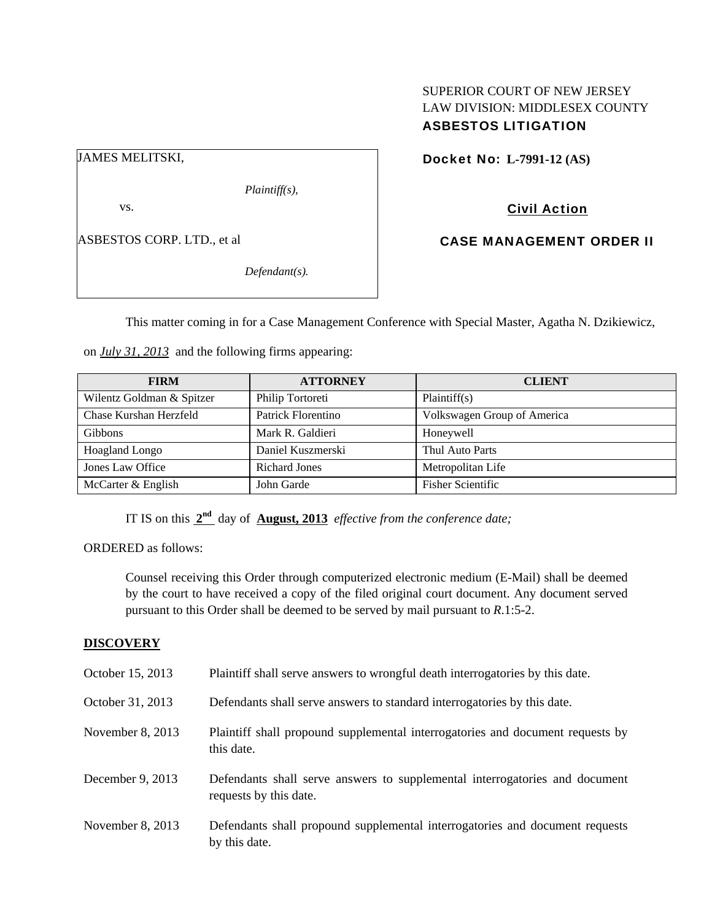# SUPERIOR COURT OF NEW JERSEY LAW DIVISION: MIDDLESEX COUNTY ASBESTOS LITIGATION

Docket No: **L-7991-12 (AS)** 

Civil Action

ASBESTOS CORP. LTD., et al

*Defendant(s).* 

*Plaintiff(s),* 

CASE MANAGEMENT ORDER II

This matter coming in for a Case Management Conference with Special Master, Agatha N. Dzikiewicz,

on *July 31, 2013* and the following firms appearing:

| <b>FIRM</b>               | <b>ATTORNEY</b>      | <b>CLIENT</b>               |
|---------------------------|----------------------|-----------------------------|
| Wilentz Goldman & Spitzer | Philip Tortoreti     | Plaintiff(s)                |
| Chase Kurshan Herzfeld    | Patrick Florentino   | Volkswagen Group of America |
| <b>Gibbons</b>            | Mark R. Galdieri     | Honeywell                   |
| <b>Hoagland Longo</b>     | Daniel Kuszmerski    | Thul Auto Parts             |
| Jones Law Office          | <b>Richard Jones</b> | Metropolitan Life           |
| McCarter & English        | John Garde           | <b>Fisher Scientific</b>    |

IT IS on this **2nd** day of **August, 2013** *effective from the conference date;*

ORDERED as follows:

Counsel receiving this Order through computerized electronic medium (E-Mail) shall be deemed by the court to have received a copy of the filed original court document. Any document served pursuant to this Order shall be deemed to be served by mail pursuant to *R*.1:5-2.

## **DISCOVERY**

| October 15, 2013 | Plaintiff shall serve answers to wrongful death interrogatories by this date.                         |
|------------------|-------------------------------------------------------------------------------------------------------|
| October 31, 2013 | Defendants shall serve answers to standard interrogatories by this date.                              |
| November 8, 2013 | Plaintiff shall propound supplemental interrogatories and document requests by<br>this date.          |
| December 9, 2013 | Defendants shall serve answers to supplemental interrogatories and document<br>requests by this date. |
| November 8, 2013 | Defendants shall propound supplemental interrogatories and document requests<br>by this date.         |

# JAMES MELITSKI,

vs.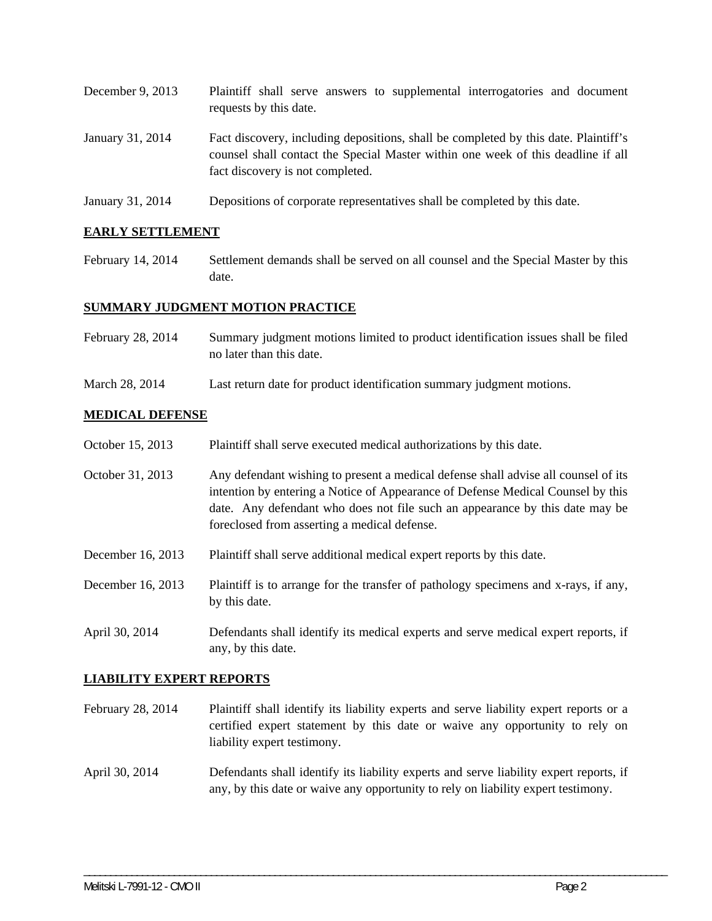| December 9, $2013$ | Plaintiff shall serve answers to supplemental interrogatories and document<br>requests by this date.                                                                                                        |
|--------------------|-------------------------------------------------------------------------------------------------------------------------------------------------------------------------------------------------------------|
| January 31, 2014   | Fact discovery, including depositions, shall be completed by this date. Plaintiff's<br>counsel shall contact the Special Master within one week of this deadline if all<br>fact discovery is not completed. |

January 31, 2014 Depositions of corporate representatives shall be completed by this date.

## **EARLY SETTLEMENT**

February 14, 2014 Settlement demands shall be served on all counsel and the Special Master by this date.

## **SUMMARY JUDGMENT MOTION PRACTICE**

- February 28, 2014 Summary judgment motions limited to product identification issues shall be filed no later than this date.
- March 28, 2014 Last return date for product identification summary judgment motions.

#### **MEDICAL DEFENSE**

- October 15, 2013 Plaintiff shall serve executed medical authorizations by this date.
- October 31, 2013 Any defendant wishing to present a medical defense shall advise all counsel of its intention by entering a Notice of Appearance of Defense Medical Counsel by this date. Any defendant who does not file such an appearance by this date may be foreclosed from asserting a medical defense.
- December 16, 2013 Plaintiff shall serve additional medical expert reports by this date.
- December 16, 2013 Plaintiff is to arrange for the transfer of pathology specimens and x-rays, if any, by this date.
- April 30, 2014 Defendants shall identify its medical experts and serve medical expert reports, if any, by this date.

#### **LIABILITY EXPERT REPORTS**

- February 28, 2014 Plaintiff shall identify its liability experts and serve liability expert reports or a certified expert statement by this date or waive any opportunity to rely on liability expert testimony.
- April 30, 2014 Defendants shall identify its liability experts and serve liability expert reports, if any, by this date or waive any opportunity to rely on liability expert testimony.

\_\_\_\_\_\_\_\_\_\_\_\_\_\_\_\_\_\_\_\_\_\_\_\_\_\_\_\_\_\_\_\_\_\_\_\_\_\_\_\_\_\_\_\_\_\_\_\_\_\_\_\_\_\_\_\_\_\_\_\_\_\_\_\_\_\_\_\_\_\_\_\_\_\_\_\_\_\_\_\_\_\_\_\_\_\_\_\_\_\_\_\_\_\_\_\_\_\_\_\_\_\_\_\_\_\_\_\_\_\_